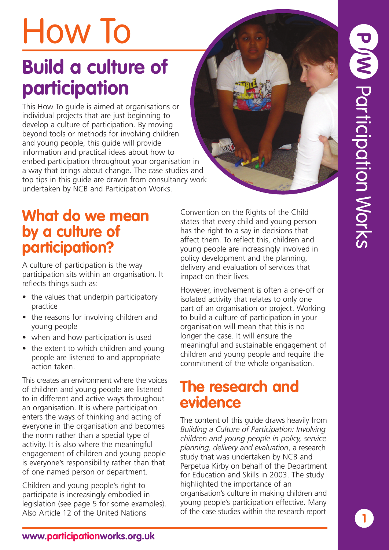# How To

# **Build a culture of participation**

This How To guide is aimed at organisations or individual projects that are just beginning to develop a culture of participation. By moving beyond tools or methods for involving children and young people, this guide will provide information and practical ideas about how to embed participation throughout your organisation in a way that brings about change. The case studies and top tips in this guide are drawn from consultancy work undertaken by NCB and Participation Works.

## **What do we mean by a culture of participation?**

A culture of participation is the way participation sits within an organisation. It reflects things such as:

- the values that underpin participatory practice
- the reasons for involving children and young people
- when and how participation is used
- the extent to which children and young people are listened to and appropriate action taken.

This creates an environment where the voices of children and young people are listened to in different and active ways throughout an organisation. It is where participation enters the ways of thinking and acting of everyone in the organisation and becomes the norm rather than a special type of activity. It is also where the meaningful engagement of children and young people is everyone's responsibility rather than that of one named person or department.

Children and young people's right to participate is increasingly embodied in legislation (see page 5 for some examples). Also Article 12 of the United Nations

Convention on the Rights of the Child states that every child and young person has the right to a say in decisions that affect them. To reflect this, children and young people are increasingly involved in policy development and the planning, delivery and evaluation of services that impact on their lives.

However, involvement is often a one-off or isolated activity that relates to only one part of an organisation or project. Working to build a culture of participation in your organisation will mean that this is no longer the case. It will ensure the meaningful and sustainable engagement of children and young people and require the commitment of the whole organisation.

## **The research and evidence**

The content of this guide draws heavily from *Building a Culture of Participation: Involving children and young people in policy, service planning, delivery and evaluation*, a research study that was undertaken by NCB and Perpetua Kirby on behalf of the Department for Education and Skills in 2003. The study highlighted the importance of an organisation's culture in making children and young people's participation effective. Many of the case studies within the research report

**1**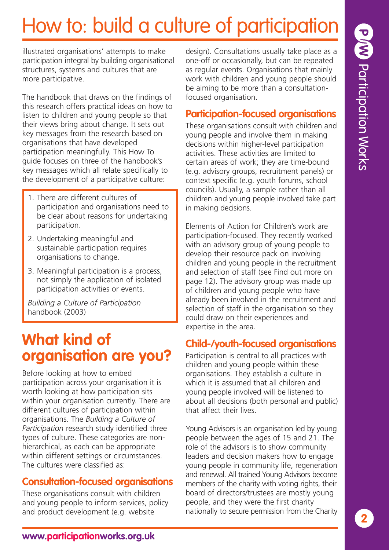illustrated organisations' attempts to make participation integral by building organisational structures, systems and cultures that are more participative.

The handbook that draws on the findings of this research offers practical ideas on how to listen to children and young people so that their views bring about change. It sets out key messages from the research based on organisations that have developed participation meaningfully. This How To guide focuses on three of the handbook's key messages which all relate specifically to the development of a participative culture:

- 1. There are different cultures of participation and organisations need to be clear about reasons for undertaking participation.
- 2. Undertaking meaningful and sustainable participation requires organisations to change.
- 3. Meaningful participation is a process, not simply the application of isolated participation activities or events.

*Building a Culture of Participation* handbook (2003)

## **What kind of organisation are you?**

Before looking at how to embed participation across your organisation it is worth looking at how participation sits within your organisation currently. There are different cultures of participation within organisations. The *Building a Culture of Participation* research study identified three types of culture. These categories are nonhierarchical, as each can be appropriate within different settings or circumstances. The cultures were classified as:

## **Consultation-focused organisations**

These organisations consult with children and young people to inform services, policy and product development (e.g. website

design). Consultations usually take place as a one-off or occasionally, but can be repeated as regular events. Organisations that mainly work with children and young people should be aiming to be more than a consultationfocused organisation.

## **Participation-focused organisations**

These organisations consult with children and young people and involve them in making decisions within higher-level participation activities. These activities are limited to certain areas of work; they are time-bound (e.g. advisory groups, recruitment panels) or context specific (e.g. youth forums, school councils). Usually, a sample rather than all children and young people involved take part in making decisions.

Elements of Action for Children's work are participation-focused. They recently worked with an advisory group of young people to develop their resource pack on involving children and young people in the recruitment and selection of staff (see Find out more on page 12). The advisory group was made up of children and young people who have already been involved in the recruitment and selection of staff in the organisation so they could draw on their experiences and expertise in the area.

## **Child-/youth-focused organisations**

Participation is central to all practices with children and young people within these organisations. They establish a culture in which it is assumed that all children and young people involved will be listened to about all decisions (both personal and public) that affect their lives.

Young Advisors is an organisation led by young people between the ages of 15 and 21. The role of the advisors is to show community leaders and decision makers how to engage young people in community life, regeneration and renewal. All trained Young Advisors become members of the charity with voting rights, their board of directors/trustees are mostly young people, and they were the first charity nationally to secure permission from the Charity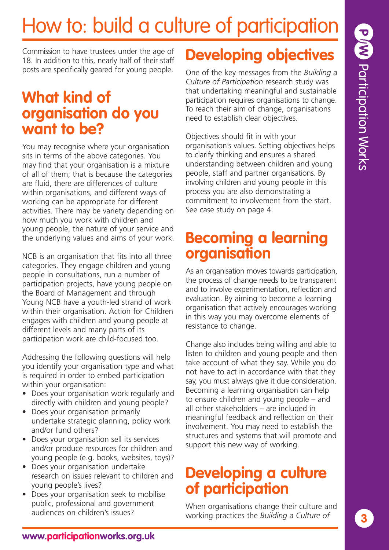# P W Participation Works

# How to: build a culture of participation

Commission to have trustees under the age of 18. In addition to this, nearly half of their staff posts are specifically geared for young people.

## **What kind of organisation do you want to be?**

You may recognise where your organisation sits in terms of the above categories. You may find that your organisation is a mixture of all of them; that is because the categories are fluid, there are differences of culture within organisations, and different ways of working can be appropriate for different activities. There may be variety depending on how much you work with children and young people, the nature of your service and the underlying values and aims of your work.

NCB is an organisation that fits into all three categories. They engage children and young people in consultations, run a number of participation projects, have young people on the Board of Management and through Young NCB have a youth-led strand of work within their organisation. Action for Children engages with children and young people at different levels and many parts of its participation work are child-focused too.

Addressing the following questions will help you identify your organisation type and what is required in order to embed participation within your organisation:

- Does your organisation work regularly and directly with children and young people?
- Does your organisation primarily undertake strategic planning, policy work and/or fund others?
- Does your organisation sell its services and/or produce resources for children and young people (e.g. books, websites, toys)?
- Does your organisation undertake research on issues relevant to children and young people's lives?
- Does your organisation seek to mobilise public, professional and government audiences on children's issues?

## **Developing objectives**

One of the key messages from the *Building a Culture of Participation* research study was that undertaking meaningful and sustainable participation requires organisations to change. To reach their aim of change, organisations need to establish clear objectives.

Objectives should fit in with your organisation's values. Setting objectives helps to clarify thinking and ensures a shared understanding between children and young people, staff and partner organisations. By involving children and young people in this process you are also demonstrating a commitment to involvement from the start. See case study on page 4.

## **Becoming a learning organisation**

As an organisation moves towards participation, the process of change needs to be transparent and to involve experimentation, reflection and evaluation. By aiming to become a learning organisation that actively encourages working in this way you may overcome elements of resistance to change.

Change also includes being willing and able to listen to children and young people and then take account of what they say. While you do not have to act in accordance with that they say, you must always give it due consideration. Becoming a learning organisation can help to ensure children and young people – and all other stakeholders – are included in meaningful feedback and reflection on their involvement. You may need to establish the structures and systems that will promote and support this new way of working.

## **Developing a culture of participation**

When organisations change their culture and working practices the *Building a Culture of*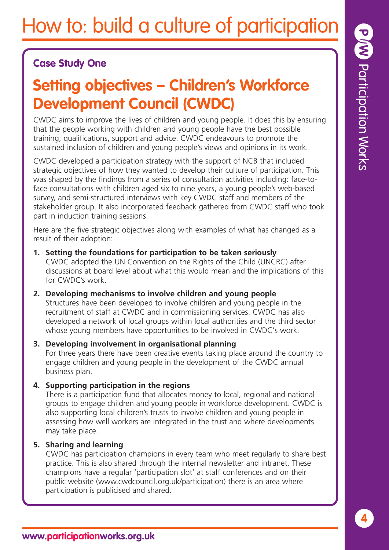## **Case Study One**

## **Setting objectives – Children's Workforce Development Council (CWDC)**

CWDC aims to improve the lives of children and young people. It does this by ensuring that the people working with children and young people have the best possible training, qualifications, support and advice. CWDC endeavours to promote the sustained inclusion of children and young people's views and opinions in its work.

CWDC developed a participation strategy with the support of NCB that included strategic objectives of how they wanted to develop their culture of participation. This was shaped by the findings from a series of consultation activities including: face-toface consultations with children aged six to nine years, a young people's web-based survey, and semi-structured interviews with key CWDC staff and members of the stakeholder group. It also incorporated feedback gathered from CWDC staff who took part in induction training sessions.

Here are the five strategic objectives along with examples of what has changed as a result of their adoption:

- **1. Setting the foundations for participation to be taken seriously** CWDC adopted the UN Convention on the Rights of the Child (UNCRC) after discussions at board level about what this would mean and the implications of this for CWDC's work.
- **2. Developing mechanisms to involve children and young people** Structures have been developed to involve children and young people in the recruitment of staff at CWDC and in commissioning services. CWDC has also developed a network of local groups within local authorities and the third sector whose young members have opportunities to be involved in CWDC's work.
- **3. Developing involvement in organisational planning** For three years there have been creative events taking place around the country to engage children and young people in the development of the CWDC annual business plan.
- **4. Supporting participation in the regions**

There is a participation fund that allocates money to local, regional and national groups to engage children and young people in workforce development. CWDC is also supporting local children's trusts to involve children and young people in assessing how well workers are integrated in the trust and where developments may take place.

## **5. Sharing and learning**

CWDC has participation champions in every team who meet regularly to share best practice. This is also shared through the internal newsletter and intranet. These champions have a regular 'participation slot' at staff conferences and on their public website (www.cwdcouncil.org.uk/participation) there is an area where participation is publicised and shared.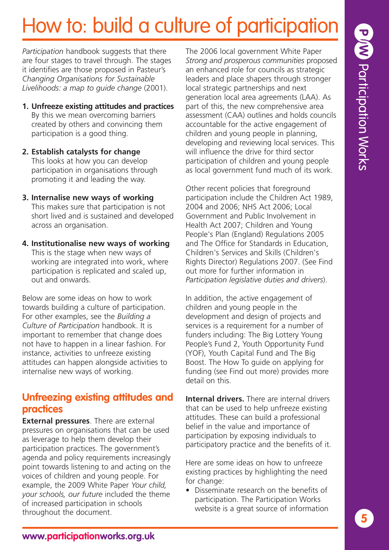*Participation* handbook suggests that there are four stages to travel through. The stages it identifies are those proposed in Pasteur's *Changing Organisations for Sustainable Livelihoods: a map to guide change* (2001).

- **1. Unfreeze existing attitudes and practices** By this we mean overcoming barriers created by others and convincing them participation is a good thing.
- **2. Establish catalysts for change** This looks at how you can develop participation in organisations through promoting it and leading the way.
- **3. Internalise new ways of working** This makes sure that participation is not short lived and is sustained and developed across an organisation.
- **4. Institutionalise new ways of working** This is the stage when new ways of working are integrated into work, where participation is replicated and scaled up, out and onwards.

Below are some ideas on how to work towards building a culture of participation. For other examples, see the *Building a Culture of Participation* handbook. It is important to remember that change does not have to happen in a linear fashion. For instance, activities to unfreeze existing attitudes can happen alongside activities to internalise new ways of working.

## **Unfreezing existing attitudes and practices**

**External pressures**. There are external pressures on organisations that can be used as leverage to help them develop their participation practices. The government's agenda and policy requirements increasingly point towards listening to and acting on the voices of children and young people. For example, the 2009 White Paper *Your child, your schools, our future* included the theme of increased participation in schools throughout the document.

The 2006 local government White Paper *Strong and prosperous communities* proposed an enhanced role for councils as strategic leaders and place shapers through stronger local strategic partnerships and next generation local area agreements (LAA). As part of this, the new comprehensive area assessment (CAA) outlines and holds councils accountable for the active engagement of children and young people in planning, developing and reviewing local services. This will influence the drive for third sector participation of children and young people as local government fund much of its work.

Other recent policies that foreground participation include the Children Act 1989, 2004 and 2006; NHS Act 2006; Local Government and Public Involvement in Health Act 2007; Children and Young People's Plan (England) Regulations 2005 and The Office for Standards in Education, Children's Services and Skills (Children's Rights Director) Regulations 2007. (See Find out more for further information in *Participation legislative duties and drivers*).

In addition, the active engagement of children and young people in the development and design of projects and services is a requirement for a number of funders including: The Big Lottery Young People's Fund 2, Youth Opportunity Fund (YOF), Youth Capital Fund and The Big Boost. The How To guide on applying for funding (see Find out more) provides more detail on this.

**Internal drivers.** There are internal drivers that can be used to help unfreeze existing attitudes. These can build a professional belief in the value and importance of participation by exposing individuals to participatory practice and the benefits of it.

Here are some ideas on how to unfreeze existing practices by highlighting the need for change:

• Disseminate research on the benefits of participation. The Participation Works website is a great source of information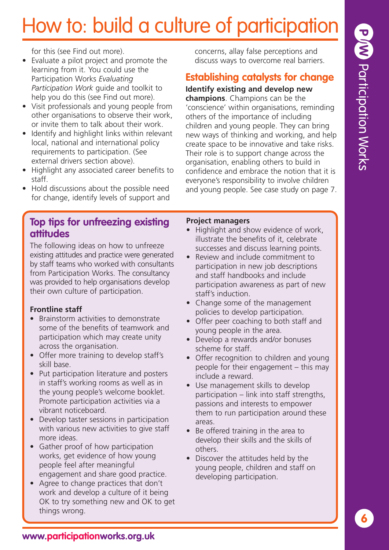for this (see Find out more).

- Evaluate a pilot project and promote the learning from it. You could use the Participation Works *Evaluating Participation Work* guide and toolkit to help you do this (see Find out more).
- Visit professionals and young people from other organisations to observe their work, or invite them to talk about their work.
- Identify and highlight links within relevant local, national and international policy requirements to participation. (See external drivers section above).
- Highlight any associated career benefits to staff.
- Hold discussions about the possible need for change, identify levels of support and

## **Top tips for unfreezing existing attitudes**

The following ideas on how to unfreeze existing attitudes and practice were generated by staff teams who worked with consultants from Participation Works. The consultancy was provided to help organisations develop their own culture of participation.

## **Frontline staff**

- Brainstorm activities to demonstrate some of the benefits of teamwork and participation which may create unity across the organisation.
- Offer more training to develop staff's skill base.
- Put participation literature and posters in staff's working rooms as well as in the young people's welcome booklet. Promote participation activities via a vibrant noticeboard.
- Develop taster sessions in participation with various new activities to give staff more ideas.
- Gather proof of how participation works, get evidence of how young people feel after meaningful engagement and share good practice.
- Agree to change practices that don't work and develop a culture of it being OK to try something new and OK to get things wrong.

concerns, allay false perceptions and discuss ways to overcome real barriers.

## **Establishing catalysts for change**

**Identify existing and develop new**

**champions**. Champions can be the 'conscience' within organisations, reminding others of the importance of including children and young people. They can bring new ways of thinking and working, and help create space to be innovative and take risks. Their role is to support change across the organisation, enabling others to build in confidence and embrace the notion that it is everyone's responsibility to involve children and young people. See case study on page 7.

## **Project managers**

- Highlight and show evidence of work, illustrate the benefits of it, celebrate successes and discuss learning points.
- Review and include commitment to participation in new job descriptions and staff handbooks and include participation awareness as part of new staff's induction.
- Change some of the management policies to develop participation.
- Offer peer coaching to both staff and young people in the area.
- Develop a rewards and/or bonuses scheme for staff.
- Offer recognition to children and young people for their engagement – this may include a reward.
- Use management skills to develop participation – link into staff strengths, passions and interests to empower them to run participation around these areas.
- Be offered training in the area to develop their skills and the skills of others.
- Discover the attitudes held by the young people, children and staff on developing participation.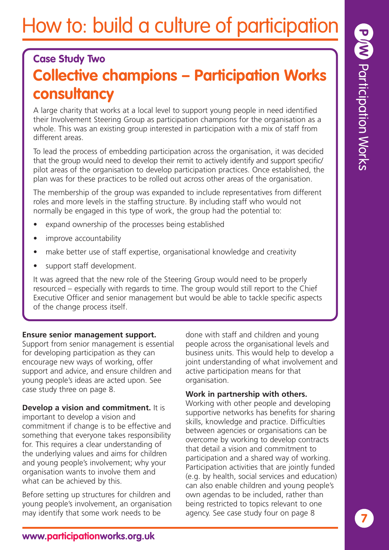## **Case Study Two Collective champions – Participation Works consultancy**

A large charity that works at a local level to support young people in need identified their Involvement Steering Group as participation champions for the organisation as a whole. This was an existing group interested in participation with a mix of staff from different areas.

To lead the process of embedding participation across the organisation, it was decided that the group would need to develop their remit to actively identify and support specific/ pilot areas of the organisation to develop participation practices. Once established, the plan was for these practices to be rolled out across other areas of the organisation.

The membership of the group was expanded to include representatives from different roles and more levels in the staffing structure. By including staff who would not normally be engaged in this type of work, the group had the potential to:

- expand ownership of the processes being established
- improve accountability
- make better use of staff expertise, organisational knowledge and creativity
- support staff development.

It was agreed that the new role of the Steering Group would need to be properly resourced – especially with regards to time. The group would still report to the Chief Executive Officer and senior management but would be able to tackle specific aspects of the change process itself.

#### **Ensure senior management support.**

Support from senior management is essential for developing participation as they can encourage new ways of working, offer support and advice, and ensure children and young people's ideas are acted upon. See case study three on page 8.

## **Develop a vision and commitment.** It is

important to develop a vision and commitment if change is to be effective and something that everyone takes responsibility for. This requires a clear understanding of the underlying values and aims for children and young people's involvement; why your organisation wants to involve them and what can be achieved by this.

Before setting up structures for children and young people's involvement, an organisation may identify that some work needs to be

done with staff and children and young people across the organisational levels and business units. This would help to develop a joint understanding of what involvement and active participation means for that organisation.

#### **Work in partnership with others.**

Working with other people and developing supportive networks has benefits for sharing skills, knowledge and practice. Difficulties between agencies or organisations can be overcome by working to develop contracts that detail a vision and commitment to participation and a shared way of working. Participation activities that are jointly funded (e.g. by health, social services and education) can also enable children and young people's own agendas to be included, rather than being restricted to topics relevant to one agency. See case study four on page 8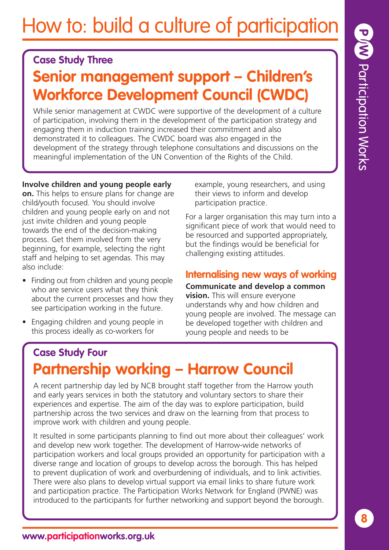## **Case Study Three**

## **Senior management support – Children's Workforce Development Council (CWDC)**

While senior management at CWDC were supportive of the development of a culture of participation, involving them in the development of the participation strategy and engaging them in induction training increased their commitment and also demonstrated it to colleagues. The CWDC board was also engaged in the development of the strategy through telephone consultations and discussions on the meaningful implementation of the UN Convention of the Rights of the Child.

## **Involve children and young people early**

**on.** This helps to ensure plans for change are child/youth focused. You should involve children and young people early on and not just invite children and young people towards the end of the decision-making process. Get them involved from the very beginning, for example, selecting the right staff and helping to set agendas. This may also include:

- Finding out from children and young people who are service users what they think about the current processes and how they see participation working in the future.
- Engaging children and young people in this process ideally as co-workers for

example, young researchers, and using their views to inform and develop participation practice.

For a larger organisation this may turn into a significant piece of work that would need to be resourced and supported appropriately, but the findings would be beneficial for challenging existing attitudes.

## **Internalising new ways of working**

**Communicate and develop a common vision.** This will ensure everyone understands why and how children and young people are involved. The message can be developed together with children and young people and needs to be

## **Case Study Four Partnership working – Harrow Council**

A recent partnership day led by NCB brought staff together from the Harrow youth and early years services in both the statutory and voluntary sectors to share their experiences and expertise. The aim of the day was to explore participation, build partnership across the two services and draw on the learning from that process to improve work with children and young people.

It resulted in some participants planning to find out more about their colleagues' work and develop new work together. The development of Harrow-wide networks of participation workers and local groups provided an opportunity for participation with a diverse range and location of groups to develop across the borough. This has helped to prevent duplication of work and overburdening of individuals, and to link activities. There were also plans to develop virtual support via email links to share future work and participation practice. The Participation Works Network for England (PWNE) was introduced to the participants for further networking and support beyond the borough.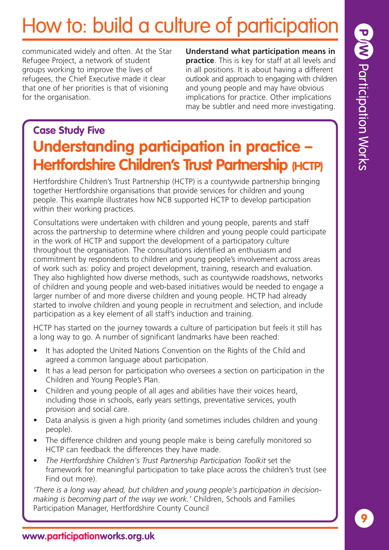communicated widely and often. At the Star Refugee Project, a network of student groups working to improve the lives of refugees, the Chief Executive made it clear that one of her priorities is that of visioning for the organisation.

**Understand what participation means in practice**. This is key for staff at all levels and in all positions. It is about having a different outlook and approach to engaging with children and young people and may have obvious implications for practice. Other implications may be subtler and need more investigating.

## **Case Study Five Understanding participation in practice – Hertfordshire Children's Trust Partnership (HCTP)**

Hertfordshire Children's Trust Partnership (HCTP) is a countywide partnership bringing together Hertfordshire organisations that provide services for children and young people. This example illustrates how NCB supported HCTP to develop participation within their working practices.

Consultations were undertaken with children and young people, parents and staff across the partnership to determine where children and young people could participate in the work of HCTP and support the development of a participatory culture throughout the organisation. The consultations identified an enthusiasm and commitment by respondents to children and young people's involvement across areas of work such as: policy and project development, training, research and evaluation. They also highlighted how diverse methods, such as countywide roadshows, networks of children and young people and web-based initiatives would be needed to engage a larger number of and more diverse children and young people. HCTP had already started to involve children and young people in recruitment and selection, and include participation as a key element of all staff's induction and training.

HCTP has started on the journey towards a culture of participation but feels it still has a long way to go. A number of significant landmarks have been reached:

- It has adopted the United Nations Convention on the Rights of the Child and agreed a common language about participation.
- It has a lead person for participation who oversees a section on participation in the Children and Young People's Plan.
- Children and young people of all ages and abilities have their voices heard, including those in schools, early years settings, preventative services, youth provision and social care.
- Data analysis is given a high priority (and sometimes includes children and young people).
- The difference children and young people make is being carefully monitored so HCTP can feedback the differences they have made.
- *The Hertfordshire Children's Trust Partnership Participation Toolkit* set the framework for meaningful participation to take place across the children's trust (see Find out more).

*'There is a long way ahead, but children and young people's participation in decisionmaking is becoming part of the way we work.'* Children, Schools and Families Participation Manager, Hertfordshire County Council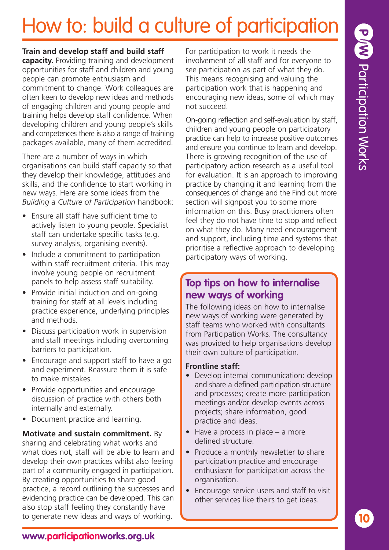#### **Train and develop staff and build staff**

**capacity.** Providing training and development opportunities for staff and children and young people can promote enthusiasm and commitment to change. Work colleagues are often keen to develop new ideas and methods of engaging children and young people and training helps develop staff confidence. When developing children and young people's skills and competences there is also a range of training packages available, many of them accredited.

There are a number of ways in which organisations can build staff capacity so that they develop their knowledge, attitudes and skills, and the confidence to start working in new ways. Here are some ideas from the *Building a Culture of Participation* handbook:

- Ensure all staff have sufficient time to actively listen to young people. Specialist staff can undertake specific tasks (e.g. survey analysis, organising events).
- Include a commitment to participation within staff recruitment criteria. This may involve young people on recruitment panels to help assess staff suitability.
- Provide initial induction and on-going training for staff at all levels including practice experience, underlying principles and methods.
- Discuss participation work in supervision and staff meetings including overcoming barriers to participation.
- Encourage and support staff to have a go and experiment. Reassure them it is safe to make mistakes.
- Provide opportunities and encourage discussion of practice with others both internally and externally.
- Document practice and learning.

**Motivate and sustain commitment.** By sharing and celebrating what works and what does not, staff will be able to learn and develop their own practices whilst also feeling part of a community engaged in participation. By creating opportunities to share good practice, a record outlining the successes and evidencing practice can be developed. This can also stop staff feeling they constantly have to generate new ideas and ways of working.

For participation to work it needs the involvement of all staff and for everyone to see participation as part of what they do. This means recognising and valuing the participation work that is happening and encouraging new ideas, some of which may not succeed.

On-going reflection and self-evaluation by staff, children and young people on participatory practice can help to increase positive outcomes and ensure you continue to learn and develop. There is growing recognition of the use of participatory action research as a useful tool for evaluation. It is an approach to improving practice by changing it and learning from the consequences of change and the Find out more section will signpost you to some more information on this. Busy practitioners often feel they do not have time to stop and reflect on what they do. Many need encouragement and support, including time and systems that prioritise a reflective approach to developing participatory ways of working.

## **Top tips on how to internalise new ways of working**

The following ideas on how to internalise new ways of working were generated by staff teams who worked with consultants from Participation Works. The consultancy was provided to help organisations develop their own culture of participation.

## **Frontline staff:**

- Develop internal communication: develop and share a defined participation structure and processes; create more participation meetings and/or develop events across projects; share information, good practice and ideas.
- $\bullet$  Have a process in place a more defined structure.
- Produce a monthly newsletter to share participation practice and encourage enthusiasm for participation across the organisation.
- Encourage service users and staff to visit other services like theirs to get ideas.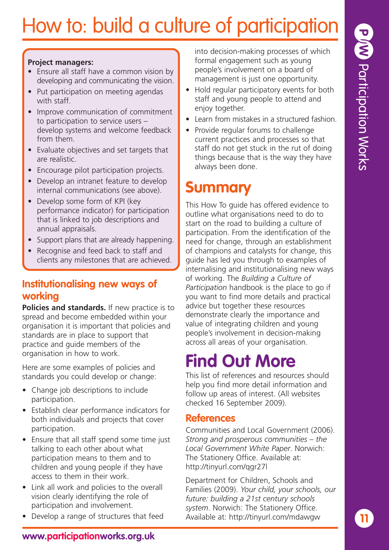**11**

# How to: build a culture of participation

#### **Project managers:**

- Ensure all staff have a common vision by developing and communicating the vision.
- Put participation on meeting agendas with staff.
- Improve communication of commitment to participation to service users – develop systems and welcome feedback from them.
- Evaluate objectives and set targets that are realistic.
- Encourage pilot participation projects.
- Develop an intranet feature to develop internal communications (see above).
- Develop some form of KPI (key performance indicator) for participation that is linked to job descriptions and annual appraisals.
- Support plans that are already happening.
- Recognise and feed back to staff and clients any milestones that are achieved.

## **Institutionalising new ways of working**

**Policies and standards.** If new practice is to spread and become embedded within your organisation it is important that policies and standards are in place to support that practice and guide members of the organisation in how to work.

Here are some examples of policies and standards you could develop or change:

- Change job descriptions to include participation.
- Establish clear performance indicators for both individuals and projects that cover participation.
- Ensure that all staff spend some time just talking to each other about what participation means to them and to children and young people if they have access to them in their work.
- Link all work and policies to the overall vision clearly identifying the role of participation and involvement.
- Develop a range of structures that feed

into decision-making processes of which formal engagement such as young people's involvement on a board of management is just one opportunity.

- Hold regular participatory events for both staff and young people to attend and enjoy together.
- Learn from mistakes in a structured fashion.
- Provide regular forums to challenge current practices and processes so that staff do not get stuck in the rut of doing things because that is the way they have always been done.

## **Summary**

This How To guide has offered evidence to outline what organisations need to do to start on the road to building a culture of participation. From the identification of the need for change, through an establishment of champions and catalysts for change, this guide has led you through to examples of internalising and institutionalising new ways of working. The *Building a Culture of Participation* handbook is the place to go if you want to find more details and practical advice but together these resources demonstrate clearly the importance and value of integrating children and young people's involvement in decision-making across all areas of your organisation.

## **Find Out More**

This list of references and resources should help you find more detail information and follow up areas of interest. (All websites checked 16 September 2009).

## **References**

Communities and Local Government (2006). *Strong and prosperous communities – the Local Government White Paper*. Norwich: The Stationery Office. Available at: http://tinyurl.com/qgr27l

Department for Children, Schools and Families (2009). *Your child, your schools, our future: building a 21st century schools system*. Norwich: The Stationery Office. Available at: http://tinyurl.com/mdawgw